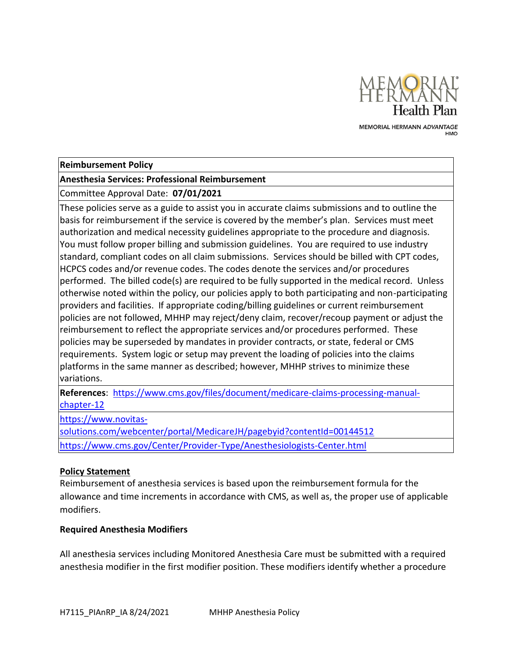

MEMORIAL HERMANN ADVANTAGE

## **Reimbursement Policy**

# **Anesthesia Services: Professional Reimbursement**

Committee Approval Date: **07/01/2021**

These policies serve as a guide to assist you in accurate claims submissions and to outline the basis for reimbursement if the service is covered by the member's plan. Services must meet authorization and medical necessity guidelines appropriate to the procedure and diagnosis. You must follow proper billing and submission guidelines. You are required to use industry standard, compliant codes on all claim submissions. Services should be billed with CPT codes, HCPCS codes and/or revenue codes. The codes denote the services and/or procedures performed. The billed code(s) are required to be fully supported in the medical record. Unless otherwise noted within the policy, our policies apply to both participating and non-participating providers and facilities. If appropriate coding/billing guidelines or current reimbursement policies are not followed, MHHP may reject/deny claim, recover/recoup payment or adjust the reimbursement to reflect the appropriate services and/or procedures performed. These policies may be superseded by mandates in provider contracts, or state, federal or CMS requirements. System logic or setup may prevent the loading of policies into the claims platforms in the same manner as described; however, MHHP strives to minimize these variations.

**References**: [https://www.cms.gov/files/document/medicare-claims-processing-manual](https://www.cms.gov/files/document/medicare-claims-processing-manual-chapter-12)[chapter-12](https://www.cms.gov/files/document/medicare-claims-processing-manual-chapter-12)

[https://www.novitas-](https://www.novitas-solutions.com/webcenter/portal/MedicareJH/pagebyid?contentId=00144512)

[solutions.com/webcenter/portal/MedicareJH/pagebyid?contentId=00144512](https://www.novitas-solutions.com/webcenter/portal/MedicareJH/pagebyid?contentId=00144512)

<https://www.cms.gov/Center/Provider-Type/Anesthesiologists-Center.html>

## **Policy Statement**

Reimbursement of anesthesia services is based upon the reimbursement formula for the allowance and time increments in accordance with CMS, as well as, the proper use of applicable modifiers.

## **Required Anesthesia Modifiers**

All anesthesia services including Monitored Anesthesia Care must be submitted with a required anesthesia modifier in the first modifier position. These modifiers identify whether a procedure